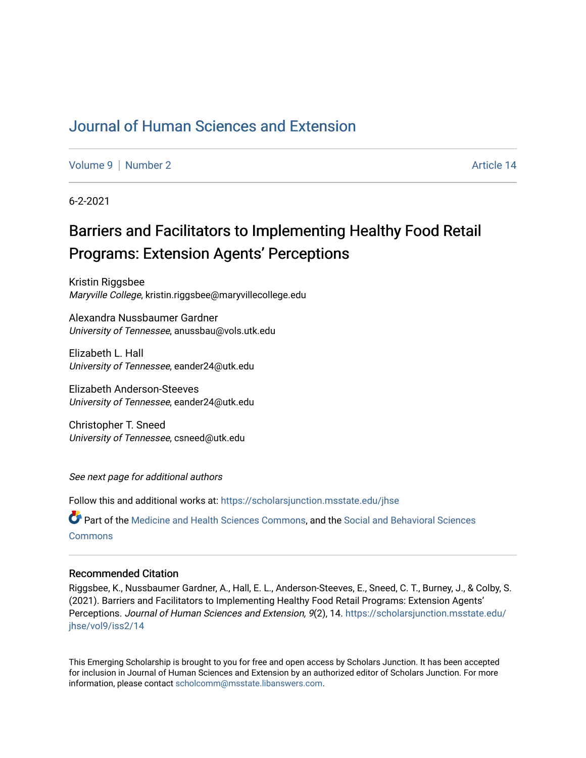## [Journal of Human Sciences and Extension](https://scholarsjunction.msstate.edu/jhse)

[Volume 9](https://scholarsjunction.msstate.edu/jhse/vol9) | [Number 2](https://scholarsjunction.msstate.edu/jhse/vol9/iss2) Article 14

6-2-2021

# Barriers and Facilitators to Implementing Healthy Food Retail Programs: Extension Agents' Perceptions

Kristin Riggsbee Maryville College, kristin.riggsbee@maryvillecollege.edu

Alexandra Nussbaumer Gardner University of Tennessee, anussbau@vols.utk.edu

Elizabeth L. Hall University of Tennessee, eander24@utk.edu

Elizabeth Anderson-Steeves University of Tennessee, eander24@utk.edu

Christopher T. Sneed University of Tennessee, csneed@utk.edu

See next page for additional authors

Follow this and additional works at: [https://scholarsjunction.msstate.edu/jhse](https://scholarsjunction.msstate.edu/jhse?utm_source=scholarsjunction.msstate.edu%2Fjhse%2Fvol9%2Fiss2%2F14&utm_medium=PDF&utm_campaign=PDFCoverPages)

Part of the [Medicine and Health Sciences Commons,](http://network.bepress.com/hgg/discipline/648?utm_source=scholarsjunction.msstate.edu%2Fjhse%2Fvol9%2Fiss2%2F14&utm_medium=PDF&utm_campaign=PDFCoverPages) and the [Social and Behavioral Sciences](http://network.bepress.com/hgg/discipline/316?utm_source=scholarsjunction.msstate.edu%2Fjhse%2Fvol9%2Fiss2%2F14&utm_medium=PDF&utm_campaign=PDFCoverPages) **[Commons](http://network.bepress.com/hgg/discipline/316?utm_source=scholarsjunction.msstate.edu%2Fjhse%2Fvol9%2Fiss2%2F14&utm_medium=PDF&utm_campaign=PDFCoverPages)** 

#### Recommended Citation

Riggsbee, K., Nussbaumer Gardner, A., Hall, E. L., Anderson-Steeves, E., Sneed, C. T., Burney, J., & Colby, S. (2021). Barriers and Facilitators to Implementing Healthy Food Retail Programs: Extension Agents' Perceptions. Journal of Human Sciences and Extension, 9(2), 14. [https://scholarsjunction.msstate.edu/](https://scholarsjunction.msstate.edu/jhse/vol9/iss2/14?utm_source=scholarsjunction.msstate.edu%2Fjhse%2Fvol9%2Fiss2%2F14&utm_medium=PDF&utm_campaign=PDFCoverPages) [jhse/vol9/iss2/14](https://scholarsjunction.msstate.edu/jhse/vol9/iss2/14?utm_source=scholarsjunction.msstate.edu%2Fjhse%2Fvol9%2Fiss2%2F14&utm_medium=PDF&utm_campaign=PDFCoverPages) 

This Emerging Scholarship is brought to you for free and open access by Scholars Junction. It has been accepted for inclusion in Journal of Human Sciences and Extension by an authorized editor of Scholars Junction. For more information, please contact [scholcomm@msstate.libanswers.com](mailto:scholcomm@msstate.libanswers.com).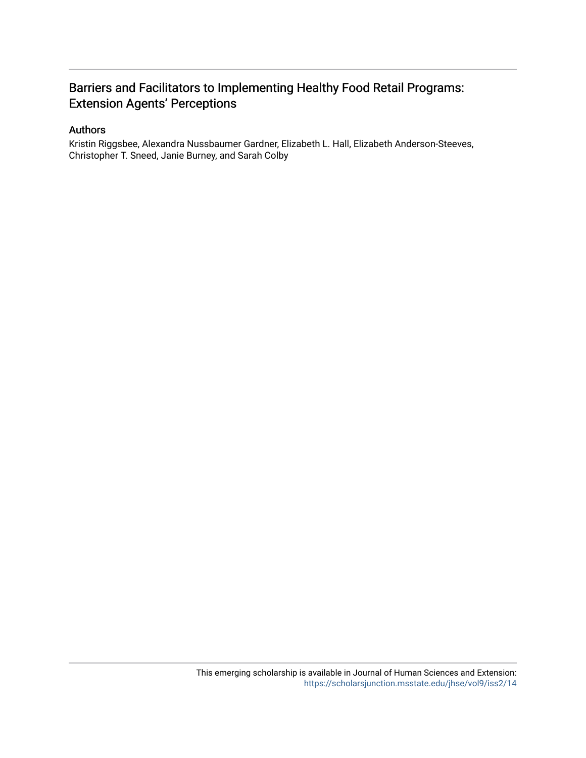## Barriers and Facilitators to Implementing Healthy Food Retail Programs: Extension Agents' Perceptions

#### Authors

Kristin Riggsbee, Alexandra Nussbaumer Gardner, Elizabeth L. Hall, Elizabeth Anderson-Steeves, Christopher T. Sneed, Janie Burney, and Sarah Colby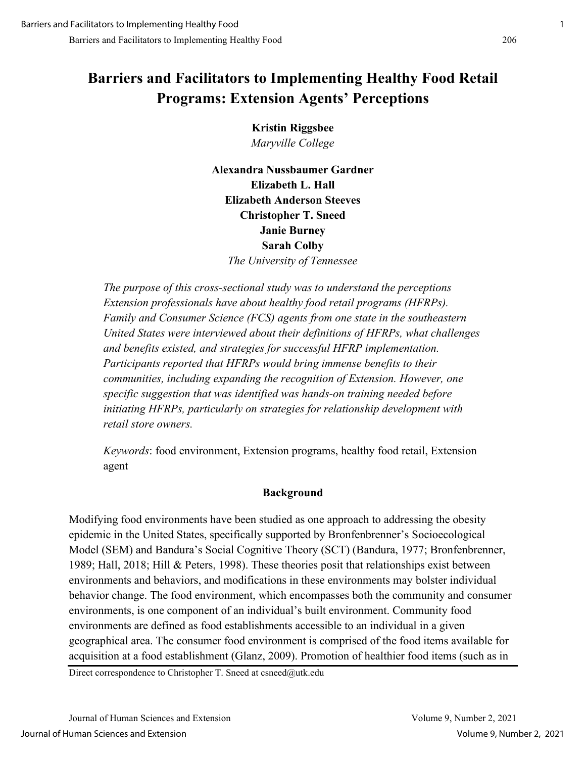# **Barriers and Facilitators to Implementing Healthy Food Retail Programs: Extension Agents' Perceptions**

**Kristin Riggsbee** *Maryville College*

**Alexandra Nussbaumer Gardner Elizabeth L. Hall Elizabeth Anderson Steeves Christopher T. Sneed Janie Burney Sarah Colby**  *The University of Tennessee*

*The purpose of this cross-sectional study was to understand the perceptions Extension professionals have about healthy food retail programs (HFRPs). Family and Consumer Science (FCS) agents from one state in the southeastern United States were interviewed about their definitions of HFRPs, what challenges and benefits existed, and strategies for successful HFRP implementation. Participants reported that HFRPs would bring immense benefits to their communities, including expanding the recognition of Extension. However, one specific suggestion that was identified was hands-on training needed before initiating HFRPs, particularly on strategies for relationship development with retail store owners.*

*Keywords*: food environment, Extension programs, healthy food retail, Extension agent

## **Background**

Modifying food environments have been studied as one approach to addressing the obesity epidemic in the United States, specifically supported by Bronfenbrenner's Socioecological Model (SEM) and Bandura's Social Cognitive Theory (SCT) (Bandura, 1977; Bronfenbrenner, 1989; Hall, 2018; Hill & Peters, 1998). These theories posit that relationships exist between environments and behaviors, and modifications in these environments may bolster individual behavior change. The food environment, which encompasses both the community and consumer environments, is one component of an individual's built environment. Community food environments are defined as food establishments accessible to an individual in a given geographical area. The consumer food environment is comprised of the food items available for acquisition at a food establishment (Glanz, 2009). Promotion of healthier food items (such as in

Direct correspondence to Christopher T. Sneed at csneed@utk.edu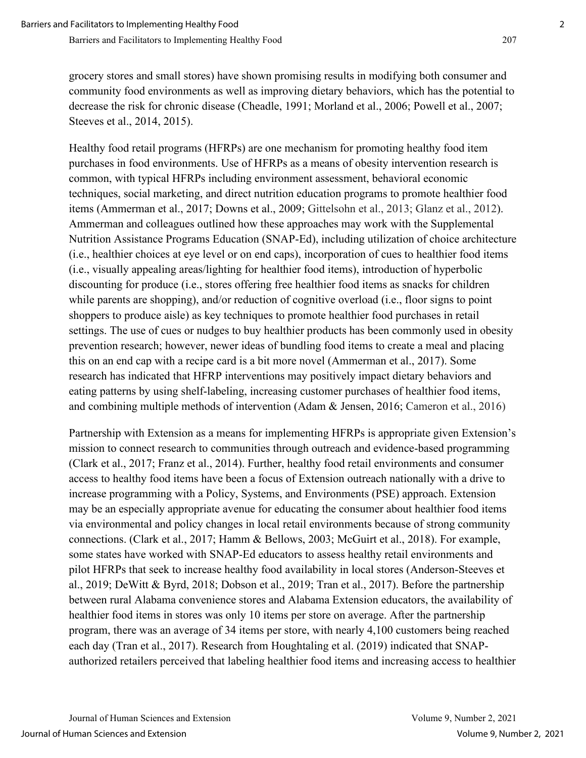grocery stores and small stores) have shown promising results in modifying both consumer and community food environments as well as improving dietary behaviors, which has the potential to decrease the risk for chronic disease (Cheadle, 1991; Morland et al., 2006; Powell et al., 2007; Steeves et al., 2014, 2015).

Healthy food retail programs (HFRPs) are one mechanism for promoting healthy food item purchases in food environments. Use of HFRPs as a means of obesity intervention research is common, with typical HFRPs including environment assessment, behavioral economic techniques, social marketing, and direct nutrition education programs to promote healthier food items (Ammerman et al., 2017; Downs et al., 2009; Gittelsohn et al., 2013; Glanz et al., 2012). Ammerman and colleagues outlined how these approaches may work with the Supplemental Nutrition Assistance Programs Education (SNAP-Ed), including utilization of choice architecture (i.e., healthier choices at eye level or on end caps), incorporation of cues to healthier food items (i.e., visually appealing areas/lighting for healthier food items), introduction of hyperbolic discounting for produce (i.e., stores offering free healthier food items as snacks for children while parents are shopping), and/or reduction of cognitive overload (i.e., floor signs to point shoppers to produce aisle) as key techniques to promote healthier food purchases in retail settings. The use of cues or nudges to buy healthier products has been commonly used in obesity prevention research; however, newer ideas of bundling food items to create a meal and placing this on an end cap with a recipe card is a bit more novel (Ammerman et al., 2017). Some research has indicated that HFRP interventions may positively impact dietary behaviors and eating patterns by using shelf-labeling, increasing customer purchases of healthier food items, and combining multiple methods of intervention (Adam & Jensen, 2016; Cameron et al., 2016)

Partnership with Extension as a means for implementing HFRPs is appropriate given Extension's mission to connect research to communities through outreach and evidence-based programming (Clark et al., 2017; Franz et al., 2014). Further, healthy food retail environments and consumer access to healthy food items have been a focus of Extension outreach nationally with a drive to increase programming with a Policy, Systems, and Environments (PSE) approach. Extension may be an especially appropriate avenue for educating the consumer about healthier food items via environmental and policy changes in local retail environments because of strong community connections. (Clark et al., 2017; Hamm & Bellows, 2003; McGuirt et al., 2018). For example, some states have worked with SNAP-Ed educators to assess healthy retail environments and pilot HFRPs that seek to increase healthy food availability in local stores (Anderson-Steeves et al., 2019; DeWitt & Byrd, 2018; Dobson et al., 2019; Tran et al., 2017). Before the partnership between rural Alabama convenience stores and Alabama Extension educators, the availability of healthier food items in stores was only 10 items per store on average. After the partnership program, there was an average of 34 items per store, with nearly 4,100 customers being reached each day (Tran et al., 2017). Research from Houghtaling et al. (2019) indicated that SNAPauthorized retailers perceived that labeling healthier food items and increasing access to healthier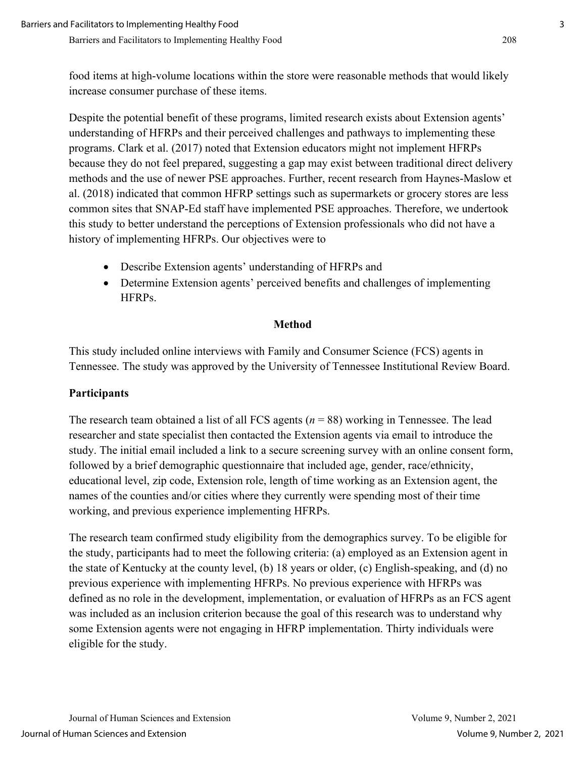food items at high-volume locations within the store were reasonable methods that would likely increase consumer purchase of these items.

Despite the potential benefit of these programs, limited research exists about Extension agents' understanding of HFRPs and their perceived challenges and pathways to implementing these programs. Clark et al. (2017) noted that Extension educators might not implement HFRPs because they do not feel prepared, suggesting a gap may exist between traditional direct delivery methods and the use of newer PSE approaches. Further, recent research from Haynes-Maslow et al. (2018) indicated that common HFRP settings such as supermarkets or grocery stores are less common sites that SNAP-Ed staff have implemented PSE approaches. Therefore, we undertook this study to better understand the perceptions of Extension professionals who did not have a history of implementing HFRPs. Our objectives were to

- Describe Extension agents' understanding of HFRPs and
- Determine Extension agents' perceived benefits and challenges of implementing HFRPs.

#### **Method**

This study included online interviews with Family and Consumer Science (FCS) agents in Tennessee. The study was approved by the University of Tennessee Institutional Review Board.

## **Participants**

The research team obtained a list of all FCS agents (*n* = 88) working in Tennessee. The lead researcher and state specialist then contacted the Extension agents via email to introduce the study. The initial email included a link to a secure screening survey with an online consent form, followed by a brief demographic questionnaire that included age, gender, race/ethnicity, educational level, zip code, Extension role, length of time working as an Extension agent, the names of the counties and/or cities where they currently were spending most of their time working, and previous experience implementing HFRPs.

The research team confirmed study eligibility from the demographics survey. To be eligible for the study, participants had to meet the following criteria: (a) employed as an Extension agent in the state of Kentucky at the county level, (b) 18 years or older, (c) English-speaking, and (d) no previous experience with implementing HFRPs. No previous experience with HFRPs was defined as no role in the development, implementation, or evaluation of HFRPs as an FCS agent was included as an inclusion criterion because the goal of this research was to understand why some Extension agents were not engaging in HFRP implementation. Thirty individuals were eligible for the study.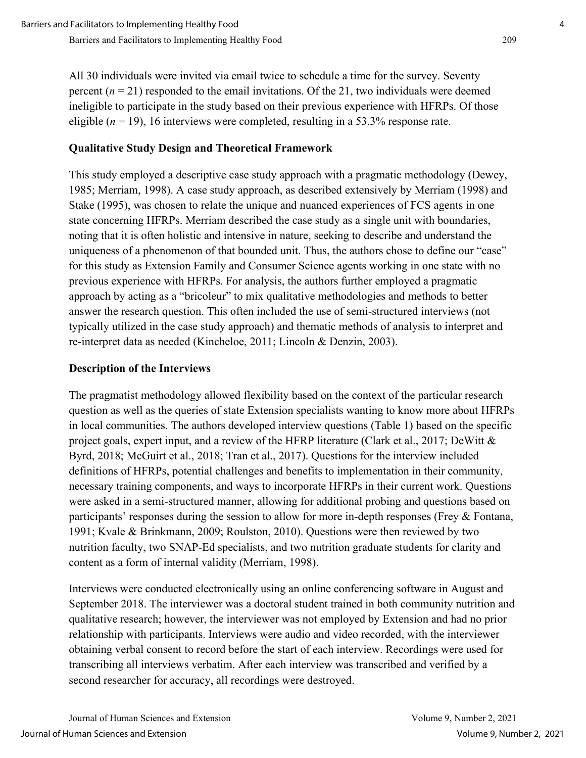All 30 individuals were invited via email twice to schedule a time for the survey. Seventy percent  $(n = 21)$  responded to the email invitations. Of the 21, two individuals were deemed ineligible to participate in the study based on their previous experience with HFRPs. Of those eligible  $(n = 19)$ , 16 interviews were completed, resulting in a 53.3% response rate.

## **Qualitative Study Design and Theoretical Framework**

This study employed a descriptive case study approach with a pragmatic methodology (Dewey, 1985; Merriam, 1998). A case study approach, as described extensively by Merriam (1998) and Stake (1995), was chosen to relate the unique and nuanced experiences of FCS agents in one state concerning HFRPs. Merriam described the case study as a single unit with boundaries, noting that it is often holistic and intensive in nature, seeking to describe and understand the uniqueness of a phenomenon of that bounded unit. Thus, the authors chose to define our "case" for this study as Extension Family and Consumer Science agents working in one state with no previous experience with HFRPs. For analysis, the authors further employed a pragmatic approach by acting as a "bricoleur" to mix qualitative methodologies and methods to better answer the research question. This often included the use of semi-structured interviews (not typically utilized in the case study approach) and thematic methods of analysis to interpret and re-interpret data as needed (Kincheloe, 2011; Lincoln & Denzin, 2003).

## **Description of the Interviews**

The pragmatist methodology allowed flexibility based on the context of the particular research question as well as the queries of state Extension specialists wanting to know more about HFRPs in local communities. The authors developed interview questions (Table 1) based on the specific project goals, expert input, and a review of the HFRP literature (Clark et al., 2017; DeWitt & Byrd, 2018; McGuirt et al., 2018; Tran et al., 2017). Questions for the interview included definitions of HFRPs, potential challenges and benefits to implementation in their community, necessary training components, and ways to incorporate HFRPs in their current work. Questions were asked in a semi-structured manner, allowing for additional probing and questions based on participants' responses during the session to allow for more in-depth responses (Frey & Fontana, 1991; Kvale & Brinkmann, 2009; Roulston, 2010). Questions were then reviewed by two nutrition faculty, two SNAP-Ed specialists, and two nutrition graduate students for clarity and content as a form of internal validity (Merriam, 1998).

Interviews were conducted electronically using an online conferencing software in August and September 2018. The interviewer was a doctoral student trained in both community nutrition and qualitative research; however, the interviewer was not employed by Extension and had no prior relationship with participants. Interviews were audio and video recorded, with the interviewer obtaining verbal consent to record before the start of each interview. Recordings were used for transcribing all interviews verbatim. After each interview was transcribed and verified by a second researcher for accuracy, all recordings were destroyed.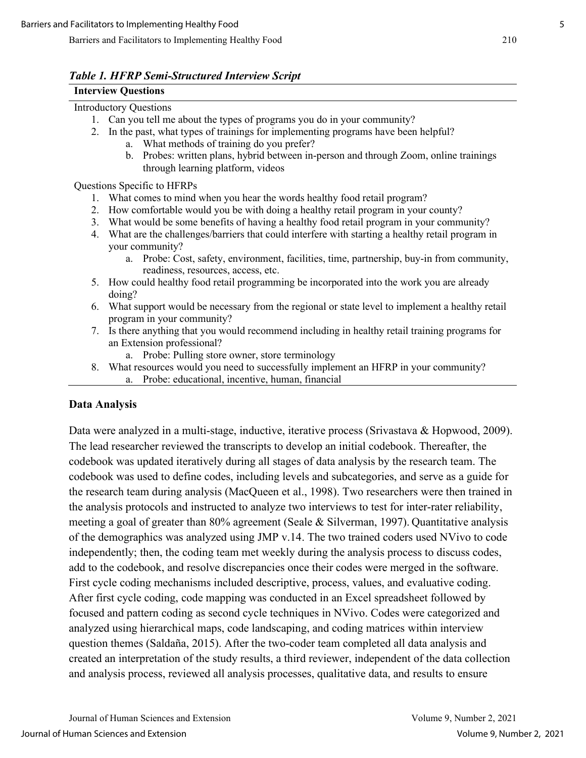#### *Table 1. HFRP Semi-Structured Interview Script*

## **Interview Questions**

## Introductory Questions

- 1. Can you tell me about the types of programs you do in your community?
- 2. In the past, what types of trainings for implementing programs have been helpful?
	- a. What methods of training do you prefer?
	- b. Probes: written plans, hybrid between in-person and through Zoom, online trainings through learning platform, videos

Questions Specific to HFRPs

- 1. What comes to mind when you hear the words healthy food retail program?
- 2. How comfortable would you be with doing a healthy retail program in your county?
- 3. What would be some benefits of having a healthy food retail program in your community?
- 4. What are the challenges/barriers that could interfere with starting a healthy retail program in your community?
	- a. Probe: Cost, safety, environment, facilities, time, partnership, buy-in from community, readiness, resources, access, etc.
- 5. How could healthy food retail programming be incorporated into the work you are already doing?
- 6. What support would be necessary from the regional or state level to implement a healthy retail program in your community?
- 7. Is there anything that you would recommend including in healthy retail training programs for an Extension professional?
	- a. Probe: Pulling store owner, store terminology
- 8. What resources would you need to successfully implement an HFRP in your community? a. Probe: educational, incentive, human, financial

## **Data Analysis**

Data were analyzed in a multi-stage, inductive, iterative process (Srivastava & Hopwood, 2009). The lead researcher reviewed the transcripts to develop an initial codebook. Thereafter, the codebook was updated iteratively during all stages of data analysis by the research team. The codebook was used to define codes, including levels and subcategories, and serve as a guide for the research team during analysis (MacQueen et al., 1998). Two researchers were then trained in the analysis protocols and instructed to analyze two interviews to test for inter-rater reliability, meeting a goal of greater than 80% agreement (Seale & Silverman, 1997). Quantitative analysis of the demographics was analyzed using JMP v.14. The two trained coders used NVivo to code independently; then, the coding team met weekly during the analysis process to discuss codes, add to the codebook, and resolve discrepancies once their codes were merged in the software. First cycle coding mechanisms included descriptive, process, values, and evaluative coding. After first cycle coding, code mapping was conducted in an Excel spreadsheet followed by focused and pattern coding as second cycle techniques in NVivo. Codes were categorized and analyzed using hierarchical maps, code landscaping, and coding matrices within interview question themes (Saldaña, 2015). After the two-coder team completed all data analysis and created an interpretation of the study results, a third reviewer, independent of the data collection and analysis process, reviewed all analysis processes, qualitative data, and results to ensure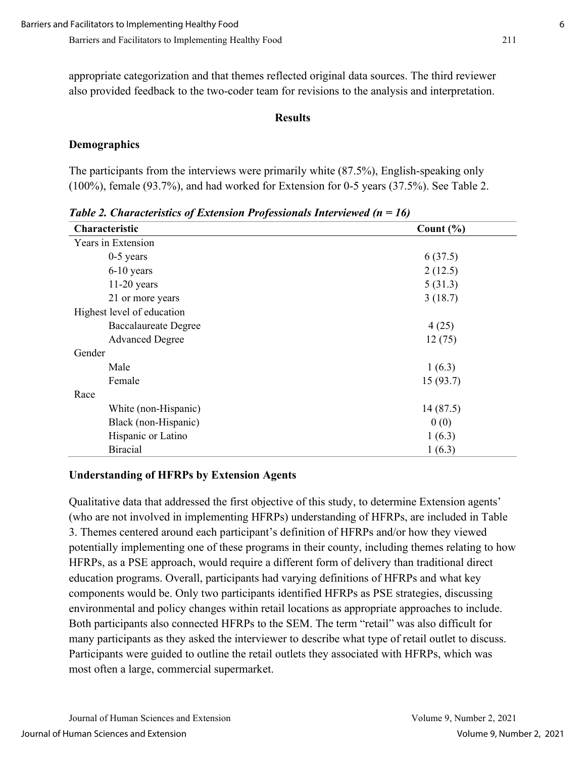appropriate categorization and that themes reflected original data sources. The third reviewer also provided feedback to the two-coder team for revisions to the analysis and interpretation.

#### **Results**

#### **Demographics**

The participants from the interviews were primarily white (87.5%), English-speaking only (100%), female (93.7%), and had worked for Extension for 0-5 years (37.5%). See Table 2.

| Characteristic              | Count $(\% )$ |
|-----------------------------|---------------|
| Years in Extension          |               |
| $0-5$ years                 | 6(37.5)       |
| 6-10 years                  | 2(12.5)       |
| $11-20$ years               | 5(31.3)       |
| 21 or more years            | 3(18.7)       |
| Highest level of education  |               |
| <b>Baccalaureate Degree</b> | 4(25)         |
| <b>Advanced Degree</b>      | 12(75)        |
| Gender                      |               |
| Male                        | 1(6.3)        |
| Female                      | 15(93.7)      |
| Race                        |               |
| White (non-Hispanic)        | 14(87.5)      |
| Black (non-Hispanic)        | 0(0)          |
| Hispanic or Latino          | 1(6.3)        |
| <b>Biracial</b>             | 1(6.3)        |

*Table 2. Characteristics of Extension Professionals Interviewed (n = 16)*

## **Understanding of HFRPs by Extension Agents**

Qualitative data that addressed the first objective of this study, to determine Extension agents' (who are not involved in implementing HFRPs) understanding of HFRPs, are included in Table 3. Themes centered around each participant's definition of HFRPs and/or how they viewed potentially implementing one of these programs in their county, including themes relating to how HFRPs, as a PSE approach, would require a different form of delivery than traditional direct education programs. Overall, participants had varying definitions of HFRPs and what key components would be. Only two participants identified HFRPs as PSE strategies, discussing environmental and policy changes within retail locations as appropriate approaches to include. Both participants also connected HFRPs to the SEM. The term "retail" was also difficult for many participants as they asked the interviewer to describe what type of retail outlet to discuss. Participants were guided to outline the retail outlets they associated with HFRPs, which was most often a large, commercial supermarket.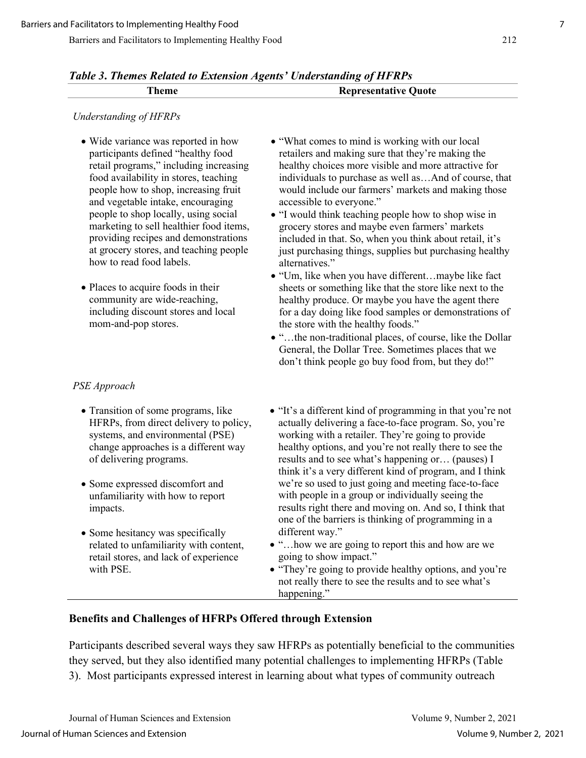| Table 3. Themes Related to Extension Agents' Understanding of HFRPs |                             |
|---------------------------------------------------------------------|-----------------------------|
| Theme                                                               | <b>Representative Quote</b> |

#### *Understanding of HFRPs*

- Wide variance was reported in how participants defined "healthy food retail programs," including increasing food availability in stores, teaching people how to shop, increasing fruit and vegetable intake, encouraging people to shop locally, using social marketing to sell healthier food items, providing recipes and demonstrations at grocery stores, and teaching people how to read food labels.
- Places to acquire foods in their community are wide-reaching, including discount stores and local mom-and-pop stores.

#### *PSE Approach*

- Transition of some programs, like HFRPs, from direct delivery to policy, systems, and environmental (PSE) change approaches is a different way of delivering programs.
- Some expressed discomfort and unfamiliarity with how to report impacts.
- Some hesitancy was specifically related to unfamiliarity with content, retail stores, and lack of experience with PSE.
- "What comes to mind is working with our local retailers and making sure that they're making the healthy choices more visible and more attractive for individuals to purchase as well as…And of course, that would include our farmers' markets and making those accessible to everyone."
- "I would think teaching people how to shop wise in grocery stores and maybe even farmers' markets included in that. So, when you think about retail, it's just purchasing things, supplies but purchasing healthy alternatives."
- "Um, like when you have different…maybe like fact sheets or something like that the store like next to the healthy produce. Or maybe you have the agent there for a day doing like food samples or demonstrations of the store with the healthy foods."
- "…the non-traditional places, of course, like the Dollar General, the Dollar Tree. Sometimes places that we don't think people go buy food from, but they do!"
- "It's a different kind of programming in that you're not actually delivering a face-to-face program. So, you're working with a retailer. They're going to provide healthy options, and you're not really there to see the results and to see what's happening or… (pauses) I think it's a very different kind of program, and I think we're so used to just going and meeting face-to-face with people in a group or individually seeing the results right there and moving on. And so, I think that one of the barriers is thinking of programming in a different way."
- "…how we are going to report this and how are we going to show impact."
- "They're going to provide healthy options, and you're not really there to see the results and to see what's happening."

## **Benefits and Challenges of HFRPs Offered through Extension**

Participants described several ways they saw HFRPs as potentially beneficial to the communities they served, but they also identified many potential challenges to implementing HFRPs (Table 3). Most participants expressed interest in learning about what types of community outreach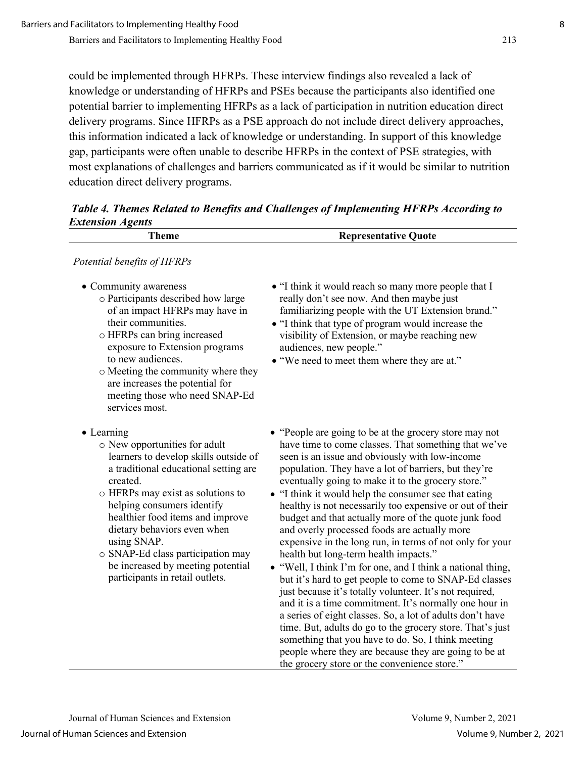could be implemented through HFRPs. These interview findings also revealed a lack of knowledge or understanding of HFRPs and PSEs because the participants also identified one potential barrier to implementing HFRPs as a lack of participation in nutrition education direct delivery programs. Since HFRPs as a PSE approach do not include direct delivery approaches, this information indicated a lack of knowledge or understanding. In support of this knowledge gap, participants were often unable to describe HFRPs in the context of PSE strategies, with most explanations of challenges and barriers communicated as if it would be similar to nutrition education direct delivery programs.

| <b>Extension Agents</b>                                                                                                                                                                                                                                                                                                                                                                                     |                                                                                                                                                                                                                                                                                                                                                                                                                                                                                                                                                                                                                                                                                                                                                                                                                                                                                                                                                                                                                                                                                                                                                         |
|-------------------------------------------------------------------------------------------------------------------------------------------------------------------------------------------------------------------------------------------------------------------------------------------------------------------------------------------------------------------------------------------------------------|---------------------------------------------------------------------------------------------------------------------------------------------------------------------------------------------------------------------------------------------------------------------------------------------------------------------------------------------------------------------------------------------------------------------------------------------------------------------------------------------------------------------------------------------------------------------------------------------------------------------------------------------------------------------------------------------------------------------------------------------------------------------------------------------------------------------------------------------------------------------------------------------------------------------------------------------------------------------------------------------------------------------------------------------------------------------------------------------------------------------------------------------------------|
| <b>Theme</b>                                                                                                                                                                                                                                                                                                                                                                                                | <b>Representative Quote</b>                                                                                                                                                                                                                                                                                                                                                                                                                                                                                                                                                                                                                                                                                                                                                                                                                                                                                                                                                                                                                                                                                                                             |
| Potential benefits of HFRPs                                                                                                                                                                                                                                                                                                                                                                                 |                                                                                                                                                                                                                                                                                                                                                                                                                                                                                                                                                                                                                                                                                                                                                                                                                                                                                                                                                                                                                                                                                                                                                         |
| • Community awareness<br>o Participants described how large<br>of an impact HFRPs may have in<br>their communities.<br>o HFRPs can bring increased<br>exposure to Extension programs<br>to new audiences.<br>o Meeting the community where they<br>are increases the potential for<br>meeting those who need SNAP-Ed<br>services most.                                                                      | • "I think it would reach so many more people that I<br>really don't see now. And then maybe just<br>familiarizing people with the UT Extension brand."<br>• "I think that type of program would increase the<br>visibility of Extension, or maybe reaching new<br>audiences, new people."<br>• "We need to meet them where they are at."                                                                                                                                                                                                                                                                                                                                                                                                                                                                                                                                                                                                                                                                                                                                                                                                               |
| • Learning<br>o New opportunities for adult<br>learners to develop skills outside of<br>a traditional educational setting are<br>created.<br>o HFRPs may exist as solutions to<br>helping consumers identify<br>healthier food items and improve<br>dietary behaviors even when<br>using SNAP.<br>o SNAP-Ed class participation may<br>be increased by meeting potential<br>participants in retail outlets. | • "People are going to be at the grocery store may not<br>have time to come classes. That something that we've<br>seen is an issue and obviously with low-income<br>population. They have a lot of barriers, but they're<br>eventually going to make it to the grocery store."<br>• "I think it would help the consumer see that eating<br>healthy is not necessarily too expensive or out of their<br>budget and that actually more of the quote junk food<br>and overly processed foods are actually more<br>expensive in the long run, in terms of not only for your<br>health but long-term health impacts."<br>• "Well, I think I'm for one, and I think a national thing,<br>but it's hard to get people to come to SNAP-Ed classes<br>just because it's totally volunteer. It's not required,<br>and it is a time commitment. It's normally one hour in<br>a series of eight classes. So, a lot of adults don't have<br>time. But, adults do go to the grocery store. That's just<br>something that you have to do. So, I think meeting<br>people where they are because they are going to be at<br>the grocery store or the convenience store." |

*Table 4. Themes Related to Benefits and Challenges of Implementing HFRPs According to*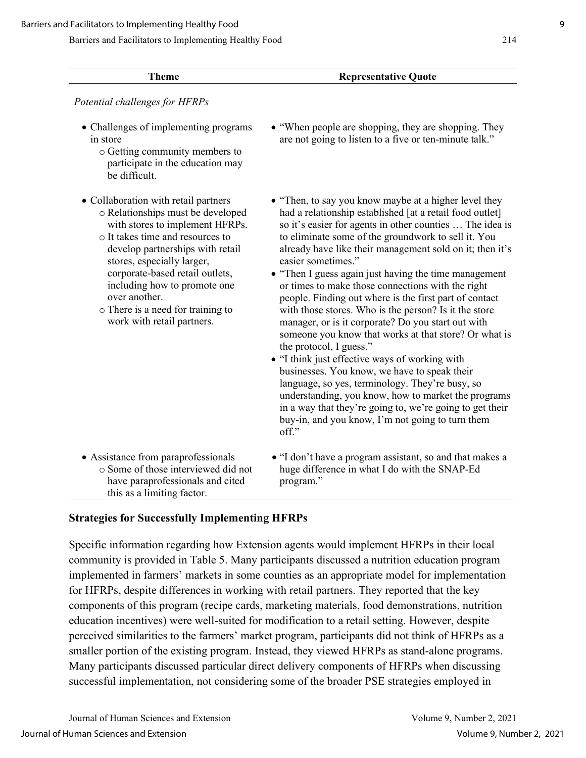| <b>Theme</b>                                                                                                                                                                                                                                                                                                                                                              | <b>Representative Quote</b>                                                                                                                                                                                                                                                                                                                                                                                                                                                                                                                                                                                                                                                                                                                                                                                                                                                                                                                                                                                                            |
|---------------------------------------------------------------------------------------------------------------------------------------------------------------------------------------------------------------------------------------------------------------------------------------------------------------------------------------------------------------------------|----------------------------------------------------------------------------------------------------------------------------------------------------------------------------------------------------------------------------------------------------------------------------------------------------------------------------------------------------------------------------------------------------------------------------------------------------------------------------------------------------------------------------------------------------------------------------------------------------------------------------------------------------------------------------------------------------------------------------------------------------------------------------------------------------------------------------------------------------------------------------------------------------------------------------------------------------------------------------------------------------------------------------------------|
| Potential challenges for HFRPs<br>• Challenges of implementing programs<br>in store<br>o Getting community members to<br>participate in the education may<br>be difficult.                                                                                                                                                                                                | • "When people are shopping, they are shopping. They<br>are not going to listen to a five or ten-minute talk."                                                                                                                                                                                                                                                                                                                                                                                                                                                                                                                                                                                                                                                                                                                                                                                                                                                                                                                         |
| • Collaboration with retail partners<br>o Relationships must be developed<br>with stores to implement HFRPs.<br>o It takes time and resources to<br>develop partnerships with retail<br>stores, especially larger,<br>corporate-based retail outlets,<br>including how to promote one<br>over another.<br>o There is a need for training to<br>work with retail partners. | • "Then, to say you know maybe at a higher level they<br>had a relationship established [at a retail food outlet]<br>so it's easier for agents in other counties  The idea is<br>to eliminate some of the groundwork to sell it. You<br>already have like their management sold on it; then it's<br>easier sometimes."<br>• "Then I guess again just having the time management<br>or times to make those connections with the right<br>people. Finding out where is the first part of contact<br>with those stores. Who is the person? Is it the store<br>manager, or is it corporate? Do you start out with<br>someone you know that works at that store? Or what is<br>the protocol, I guess."<br>• "I think just effective ways of working with<br>businesses. You know, we have to speak their<br>language, so yes, terminology. They're busy, so<br>understanding, you know, how to market the programs<br>in a way that they're going to, we're going to get their<br>buy-in, and you know, I'm not going to turn them<br>off." |
| • Assistance from paraprofessionals<br>○ Some of those interviewed did not<br>have paraprofessionals and cited<br>this as a limiting factor.                                                                                                                                                                                                                              | • "I don't have a program assistant, so and that makes a<br>huge difference in what I do with the SNAP-Ed<br>program."                                                                                                                                                                                                                                                                                                                                                                                                                                                                                                                                                                                                                                                                                                                                                                                                                                                                                                                 |

## **Strategies for Successfully Implementing HFRPs**

Specific information regarding how Extension agents would implement HFRPs in their local community is provided in Table 5. Many participants discussed a nutrition education program implemented in farmers' markets in some counties as an appropriate model for implementation for HFRPs, despite differences in working with retail partners. They reported that the key components of this program (recipe cards, marketing materials, food demonstrations, nutrition education incentives) were well-suited for modification to a retail setting. However, despite perceived similarities to the farmers' market program, participants did not think of HFRPs as a smaller portion of the existing program. Instead, they viewed HFRPs as stand-alone programs. Many participants discussed particular direct delivery components of HFRPs when discussing successful implementation, not considering some of the broader PSE strategies employed in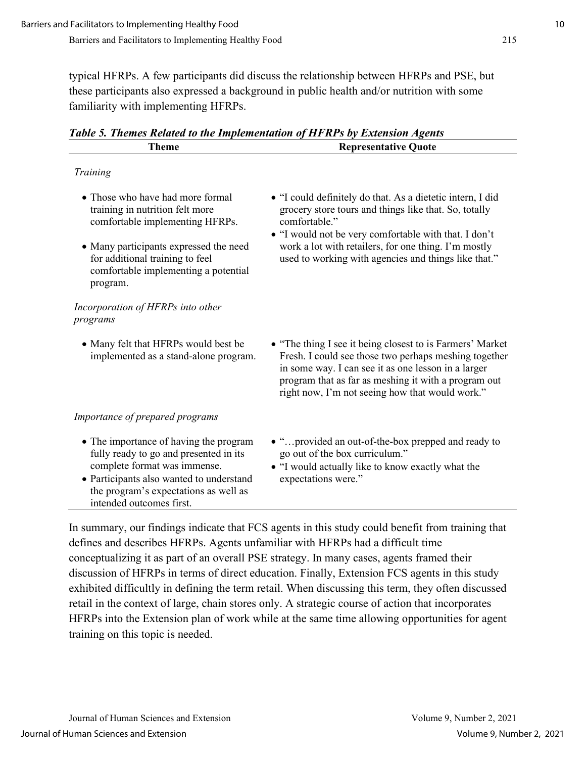typical HFRPs. A few participants did discuss the relationship between HFRPs and PSE, but these participants also expressed a background in public health and/or nutrition with some familiarity with implementing HFRPs.

| <b>Theme</b>                                                                                                                                                                                                                      | <b>Representative Quote</b>                                                                                                                                                                                                                                                                                   |
|-----------------------------------------------------------------------------------------------------------------------------------------------------------------------------------------------------------------------------------|---------------------------------------------------------------------------------------------------------------------------------------------------------------------------------------------------------------------------------------------------------------------------------------------------------------|
| Training                                                                                                                                                                                                                          |                                                                                                                                                                                                                                                                                                               |
| • Those who have had more formal<br>training in nutrition felt more<br>comfortable implementing HFRPs.                                                                                                                            | • "I could definitely do that. As a dietetic intern, I did<br>grocery store tours and things like that. So, totally<br>comfortable."<br>• "I would not be very comfortable with that. I don't<br>work a lot with retailers, for one thing. I'm mostly<br>used to working with agencies and things like that." |
| • Many participants expressed the need<br>for additional training to feel<br>comfortable implementing a potential<br>program.                                                                                                     |                                                                                                                                                                                                                                                                                                               |
| Incorporation of HFRPs into other<br>programs                                                                                                                                                                                     |                                                                                                                                                                                                                                                                                                               |
| • Many felt that HFRPs would best be<br>implemented as a stand-alone program.                                                                                                                                                     | • "The thing I see it being closest to is Farmers' Market<br>Fresh. I could see those two perhaps meshing together<br>in some way. I can see it as one lesson in a larger<br>program that as far as meshing it with a program out<br>right now, I'm not seeing how that would work."                          |
| Importance of prepared programs                                                                                                                                                                                                   |                                                                                                                                                                                                                                                                                                               |
| • The importance of having the program<br>fully ready to go and presented in its<br>complete format was immense.<br>• Participants also wanted to understand<br>the program's expectations as well as<br>intended outcomes first. | • "provided an out-of-the-box prepped and ready to<br>go out of the box curriculum."<br>• "I would actually like to know exactly what the<br>expectations were."                                                                                                                                              |

*Table 5. Themes Related to the Implementation of HFRPs by Extension Agents*

In summary, our findings indicate that FCS agents in this study could benefit from training that defines and describes HFRPs. Agents unfamiliar with HFRPs had a difficult time conceptualizing it as part of an overall PSE strategy. In many cases, agents framed their discussion of HFRPs in terms of direct education. Finally, Extension FCS agents in this study exhibited difficultly in defining the term retail. When discussing this term, they often discussed retail in the context of large, chain stores only. A strategic course of action that incorporates HFRPs into the Extension plan of work while at the same time allowing opportunities for agent training on this topic is needed.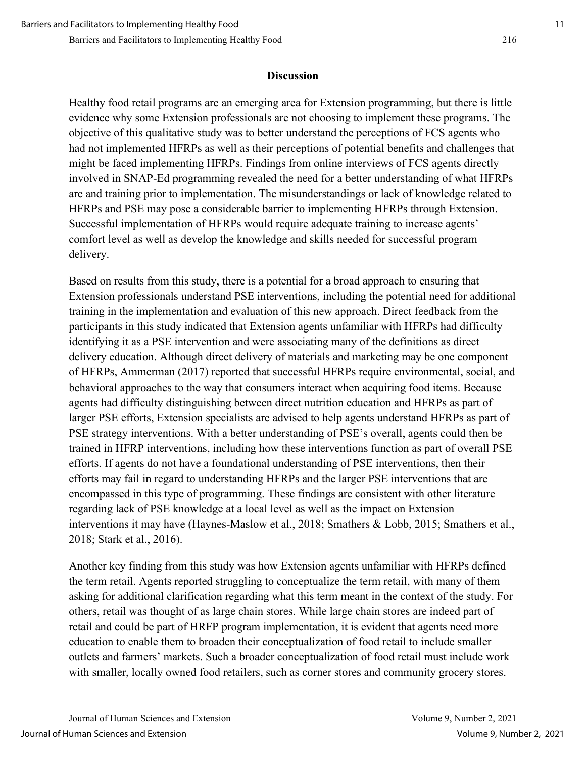#### **Discussion**

Healthy food retail programs are an emerging area for Extension programming, but there is little evidence why some Extension professionals are not choosing to implement these programs. The objective of this qualitative study was to better understand the perceptions of FCS agents who had not implemented HFRPs as well as their perceptions of potential benefits and challenges that might be faced implementing HFRPs. Findings from online interviews of FCS agents directly involved in SNAP-Ed programming revealed the need for a better understanding of what HFRPs are and training prior to implementation. The misunderstandings or lack of knowledge related to HFRPs and PSE may pose a considerable barrier to implementing HFRPs through Extension. Successful implementation of HFRPs would require adequate training to increase agents' comfort level as well as develop the knowledge and skills needed for successful program delivery.

Based on results from this study, there is a potential for a broad approach to ensuring that Extension professionals understand PSE interventions, including the potential need for additional training in the implementation and evaluation of this new approach. Direct feedback from the participants in this study indicated that Extension agents unfamiliar with HFRPs had difficulty identifying it as a PSE intervention and were associating many of the definitions as direct delivery education. Although direct delivery of materials and marketing may be one component of HFRPs, Ammerman (2017) reported that successful HFRPs require environmental, social, and behavioral approaches to the way that consumers interact when acquiring food items. Because agents had difficulty distinguishing between direct nutrition education and HFRPs as part of larger PSE efforts, Extension specialists are advised to help agents understand HFRPs as part of PSE strategy interventions. With a better understanding of PSE's overall, agents could then be trained in HFRP interventions, including how these interventions function as part of overall PSE efforts. If agents do not have a foundational understanding of PSE interventions, then their efforts may fail in regard to understanding HFRPs and the larger PSE interventions that are encompassed in this type of programming. These findings are consistent with other literature regarding lack of PSE knowledge at a local level as well as the impact on Extension interventions it may have (Haynes-Maslow et al., 2018; Smathers & Lobb, 2015; Smathers et al., 2018; Stark et al., 2016).

Another key finding from this study was how Extension agents unfamiliar with HFRPs defined the term retail. Agents reported struggling to conceptualize the term retail, with many of them asking for additional clarification regarding what this term meant in the context of the study. For others, retail was thought of as large chain stores. While large chain stores are indeed part of retail and could be part of HRFP program implementation, it is evident that agents need more education to enable them to broaden their conceptualization of food retail to include smaller outlets and farmers' markets. Such a broader conceptualization of food retail must include work with smaller, locally owned food retailers, such as corner stores and community grocery stores.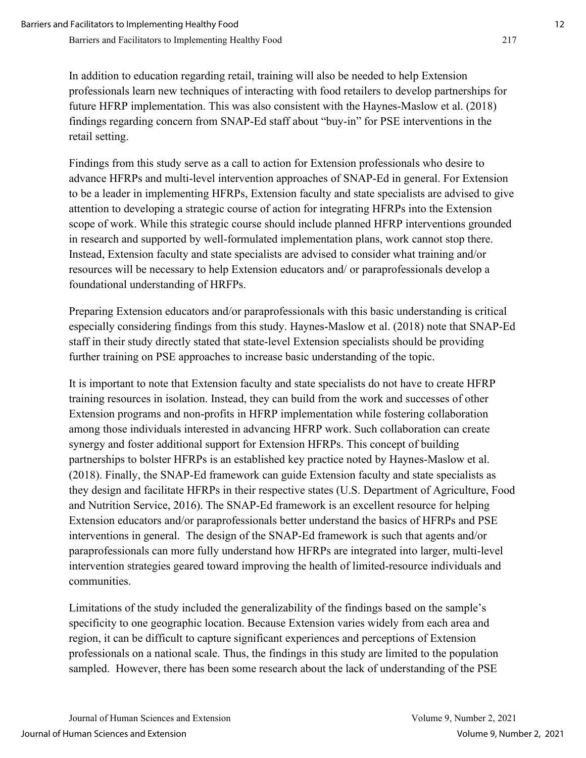In addition to education regarding retail, training will also be needed to help Extension professionals learn new techniques of interacting with food retailers to develop partnerships for future HFRP implementation. This was also consistent with the Haynes-Maslow et al. (2018) findings regarding concern from SNAP-Ed staff about "buy-in" for PSE interventions in the retail setting.

Findings from this study serve as a call to action for Extension professionals who desire to advance HFRPs and multi-level intervention approaches of SNAP-Ed in general. For Extension to be a leader in implementing HFRPs, Extension faculty and state specialists are advised to give attention to developing a strategic course of action for integrating HFRPs into the Extension scope of work. While this strategic course should include planned HFRP interventions grounded in research and supported by well-formulated implementation plans, work cannot stop there. Instead, Extension faculty and state specialists are advised to consider what training and/or resources will be necessary to help Extension educators and/ or paraprofessionals develop a foundational understanding of HRFPs.

Preparing Extension educators and/or paraprofessionals with this basic understanding is critical especially considering findings from this study. Haynes-Maslow et al. (2018) note that SNAP-Ed staff in their study directly stated that state-level Extension specialists should be providing further training on PSE approaches to increase basic understanding of the topic.

It is important to note that Extension faculty and state specialists do not have to create HFRP training resources in isolation. Instead, they can build from the work and successes of other Extension programs and non-profits in HFRP implementation while fostering collaboration among those individuals interested in advancing HFRP work. Such collaboration can create synergy and foster additional support for Extension HFRPs. This concept of building partnerships to bolster HFRPs is an established key practice noted by Haynes-Maslow et al. (2018). Finally, the SNAP-Ed framework can guide Extension faculty and state specialists as they design and facilitate HFRPs in their respective states (U.S. Department of Agriculture, Food and Nutrition Service, 2016). The SNAP-Ed framework is an excellent resource for helping Extension educators and/or paraprofessionals better understand the basics of HFRPs and PSE interventions in general. The design of the SNAP-Ed framework is such that agents and/or paraprofessionals can more fully understand how HFRPs are integrated into larger, multi-level intervention strategies geared toward improving the health of limited-resource individuals and communities.

Limitations of the study included the generalizability of the findings based on the sample's specificity to one geographic location. Because Extension varies widely from each area and region, it can be difficult to capture significant experiences and perceptions of Extension professionals on a national scale. Thus, the findings in this study are limited to the population sampled. However, there has been some research about the lack of understanding of the PSE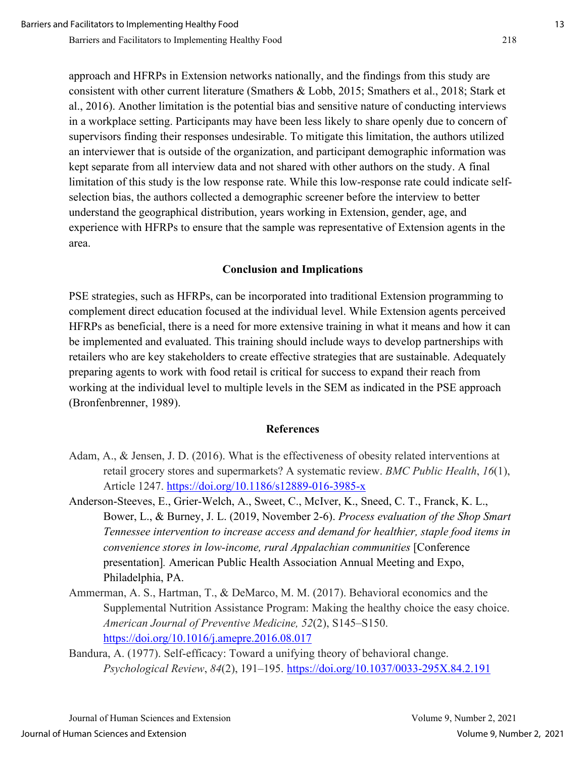approach and HFRPs in Extension networks nationally, and the findings from this study are consistent with other current literature (Smathers & Lobb, 2015; Smathers et al., 2018; Stark et al., 2016). Another limitation is the potential bias and sensitive nature of conducting interviews in a workplace setting. Participants may have been less likely to share openly due to concern of supervisors finding their responses undesirable. To mitigate this limitation, the authors utilized an interviewer that is outside of the organization, and participant demographic information was kept separate from all interview data and not shared with other authors on the study. A final limitation of this study is the low response rate. While this low-response rate could indicate selfselection bias, the authors collected a demographic screener before the interview to better understand the geographical distribution, years working in Extension, gender, age, and experience with HFRPs to ensure that the sample was representative of Extension agents in the area.

#### **Conclusion and Implications**

PSE strategies, such as HFRPs, can be incorporated into traditional Extension programming to complement direct education focused at the individual level. While Extension agents perceived HFRPs as beneficial, there is a need for more extensive training in what it means and how it can be implemented and evaluated. This training should include ways to develop partnerships with retailers who are key stakeholders to create effective strategies that are sustainable. Adequately preparing agents to work with food retail is critical for success to expand their reach from working at the individual level to multiple levels in the SEM as indicated in the PSE approach (Bronfenbrenner, 1989).

#### **References**

- Adam, A., & Jensen, J. D. (2016). What is the effectiveness of obesity related interventions at retail grocery stores and supermarkets? A systematic review. *BMC Public Health*, *16*(1), Article 1247.<https://doi.org/10.1186/s12889-016-3985-x>
- Anderson-Steeves, E., Grier-Welch, A., Sweet, C., McIver, K., Sneed, C. T., Franck, K. L., Bower, L., & Burney, J. L. (2019, November 2-6). *Process evaluation of the Shop Smart Tennessee intervention to increase access and demand for healthier, staple food items in convenience stores in low-income, rural Appalachian communities* [Conference presentation]*.* American Public Health Association Annual Meeting and Expo, Philadelphia, PA.
- Ammerman, A. S., Hartman, T., & DeMarco, M. M. (2017). Behavioral economics and the Supplemental Nutrition Assistance Program: Making the healthy choice the easy choice. *American Journal of Preventive Medicine, 52*(2), S145–S150. <https://doi.org/10.1016/j.amepre.2016.08.017>
- Bandura, A. (1977). Self-efficacy: Toward a unifying theory of behavioral change. *Psychological Review*, *84*(2), 191–195. [https://doi.org/10.1037/0033-295X.84.2.191](https://psycnet.apa.org/doi/10.1037/0033-295X.84.2.191)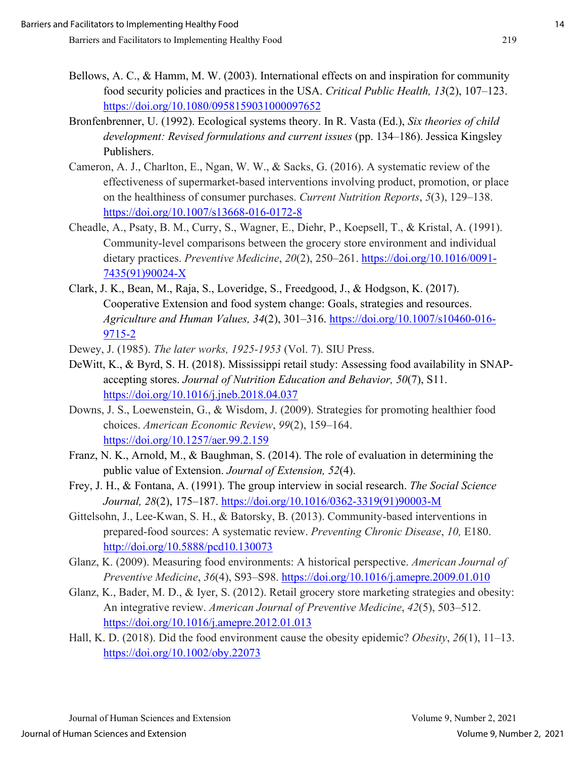- Bellows, A. C., & Hamm, M. W. (2003). International effects on and inspiration for community food security policies and practices in the USA. *Critical Public Health, 13*(2), 107–123. <https://doi.org/10.1080/0958159031000097652>
- Bronfenbrenner, U. (1992). Ecological systems theory. In R. Vasta (Ed.), *Six theories of child development: Revised formulations and current issues* (pp. 134–186). Jessica Kingsley Publishers.
- Cameron, A. J., Charlton, E., Ngan, W. W., & Sacks, G. (2016). A systematic review of the effectiveness of supermarket-based interventions involving product, promotion, or place on the healthiness of consumer purchases. *Current Nutrition Reports*, *5*(3), 129–138. <https://doi.org/10.1007/s13668-016-0172-8>
- Cheadle, A., Psaty, B. M., Curry, S., Wagner, E., Diehr, P., Koepsell, T., & Kristal, A. (1991). Community-level comparisons between the grocery store environment and individual dietary practices. *Preventive Medicine*, *20*(2), 250–261. [https://doi.org/10.1016/0091-](https://doi.org/10.1016/0091-7435(91)90024-X) [7435\(91\)90024-X](https://doi.org/10.1016/0091-7435(91)90024-X)
- Clark, J. K., Bean, M., Raja, S., Loveridge, S., Freedgood, J., & Hodgson, K. (2017). Cooperative Extension and food system change: Goals, strategies and resources. *Agriculture and Human Values, 34*(2), 301–316. [https://doi.org/10.1007/s10460-016-](https://doi.org/10.1007/s10460-016-9715-2) [9715-2](https://doi.org/10.1007/s10460-016-9715-2)
- Dewey, J. (1985). *The later works, 1925-1953* (Vol. 7). SIU Press.
- DeWitt, K., & Byrd, S. H. (2018). Mississippi retail study: Assessing food availability in SNAPaccepting stores. *Journal of Nutrition Education and Behavior, 50*(7), S11. <https://doi.org/10.1016/j.jneb.2018.04.037>
- Downs, J. S., Loewenstein, G., & Wisdom, J. (2009). Strategies for promoting healthier food choices. *American Economic Review*, *99*(2), 159–164. <https://doi.org/10.1257/aer.99.2.159>
- Franz, N. K., Arnold, M., & Baughman, S. (2014). The role of evaluation in determining the public value of Extension. *Journal of Extension, 52*(4).
- Frey, J. H., & Fontana, A. (1991). The group interview in social research. *The Social Science Journal, 28*(2), 175–187. [https://doi.org/10.1016/0362-3319\(91\)90003-M](https://psycnet.apa.org/doi/10.1016/0362-3319(91)90003-M)
- Gittelsohn, J., Lee-Kwan, S. H., & Batorsky, B. (2013). Community-based interventions in prepared-food sources: A systematic review. *Preventing Chronic Disease*, *10,* E180. <http://doi.org/10.5888/pcd10.130073>
- Glanz, K. (2009). Measuring food environments: A historical perspective. *American Journal of Preventive Medicine*, *36*(4), S93–S98.<https://doi.org/10.1016/j.amepre.2009.01.010>
- Glanz, K., Bader, M. D., & Iyer, S. (2012). Retail grocery store marketing strategies and obesity: An integrative review. *American Journal of Preventive Medicine*, *42*(5), 503–512. <https://doi.org/10.1016/j.amepre.2012.01.013>
- Hall, K. D. (2018). Did the food environment cause the obesity epidemic? *Obesity*, *26*(1), 11–13. <https://doi.org/10.1002/oby.22073>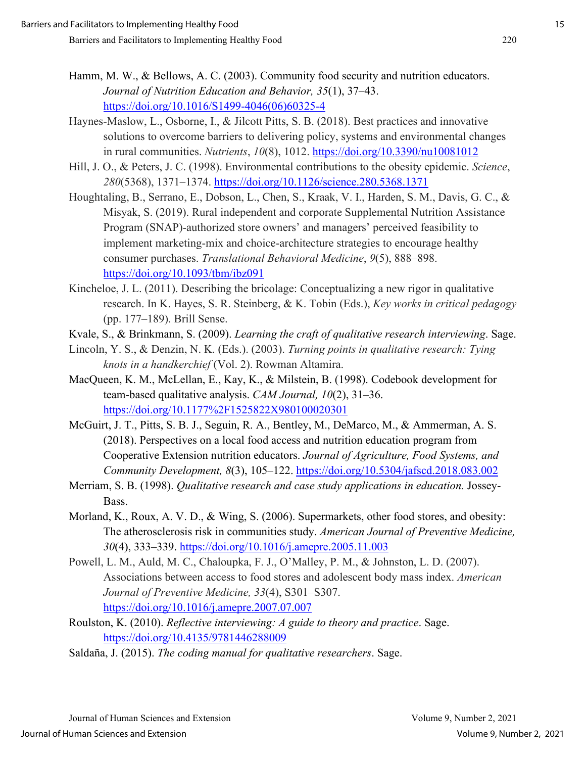- Hamm, M. W., & Bellows, A. C. (2003). Community food security and nutrition educators. *Journal of Nutrition Education and Behavior, 35*(1), 37–43. [https://doi.org/10.1016/S1499-4046\(06\)60325-4](https://doi.org/10.1016/S1499-4046(06)60325-4)
- Haynes-Maslow, L., Osborne, I., & Jilcott Pitts, S. B. (2018). Best practices and innovative solutions to overcome barriers to delivering policy, systems and environmental changes in rural communities. *Nutrients*, *10*(8), 1012.<https://doi.org/10.3390/nu10081012>
- Hill, J. O., & Peters, J. C. (1998). Environmental contributions to the obesity epidemic. *Science*, *280*(5368), 1371–1374.<https://doi.org/10.1126/science.280.5368.1371>
- Houghtaling, B., Serrano, E., Dobson, L., Chen, S., Kraak, V. I., Harden, S. M., Davis, G. C., & Misyak, S. (2019). Rural independent and corporate Supplemental Nutrition Assistance Program (SNAP)-authorized store owners' and managers' perceived feasibility to implement marketing-mix and choice-architecture strategies to encourage healthy consumer purchases. *Translational Behavioral Medicine*, *9*(5), 888–898. <https://doi.org/10.1093/tbm/ibz091>
- Kincheloe, J. L. (2011). Describing the bricolage: Conceptualizing a new rigor in qualitative research. In K. Hayes, S. R. Steinberg, & K. Tobin (Eds.), *Key works in critical pedagogy* (pp. 177–189). Brill Sense.
- Kvale, S., & Brinkmann, S. (2009). *Learning the craft of qualitative research interviewing*. Sage.
- Lincoln, Y. S., & Denzin, N. K. (Eds.). (2003). *Turning points in qualitative research: Tying knots in a handkerchief* (Vol. 2). Rowman Altamira.
- MacQueen, K. M., McLellan, E., Kay, K., & Milstein, B. (1998). Codebook development for team-based qualitative analysis. *CAM Journal, 10*(2), 31–36. <https://doi.org/10.1177%2F1525822X980100020301>
- McGuirt, J. T., Pitts, S. B. J., Seguin, R. A., Bentley, M., DeMarco, M., & Ammerman, A. S. (2018). Perspectives on a local food access and nutrition education program from Cooperative Extension nutrition educators. *Journal of Agriculture, Food Systems, and Community Development, 8*(3), 105–122.<https://doi.org/10.5304/jafscd.2018.083.002>
- Merriam, S. B. (1998). *Qualitative research and case study applications in education.* Jossey-Bass.
- Morland, K., Roux, A. V. D., & Wing, S. (2006). Supermarkets, other food stores, and obesity: The atherosclerosis risk in communities study. *American Journal of Preventive Medicine, 30*(4), 333–339.<https://doi.org/10.1016/j.amepre.2005.11.003>
- Powell, L. M., Auld, M. C., Chaloupka, F. J., O'Malley, P. M., & Johnston, L. D. (2007). Associations between access to food stores and adolescent body mass index. *American Journal of Preventive Medicine, 33*(4), S301–S307. <https://doi.org/10.1016/j.amepre.2007.07.007>
- Roulston, K. (2010). *Reflective interviewing: A guide to theory and practice*. Sage. <https://doi.org/10.4135/9781446288009>
- Saldaña, J. (2015). *The coding manual for qualitative researchers*. Sage.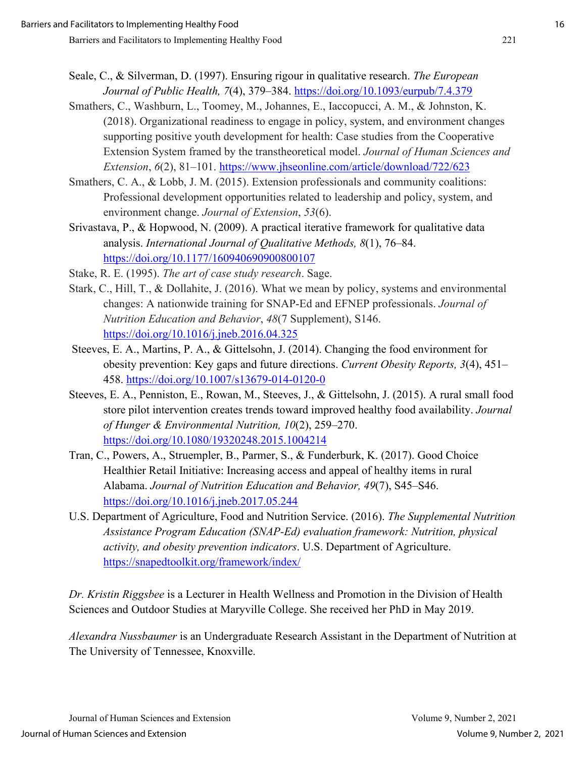- Seale, C., & Silverman, D. (1997). Ensuring rigour in qualitative research. *The European Journal of Public Health, 7*(4), 379–384.<https://doi.org/10.1093/eurpub/7.4.379>
- Smathers, C., Washburn, L., Toomey, M., Johannes, E., Iaccopucci, A. M., & Johnston, K. (2018). Organizational readiness to engage in policy, system, and environment changes supporting positive youth development for health: Case studies from the Cooperative Extension System framed by the transtheoretical model. *Journal of Human Sciences and Extension*, *6*(2), 81–101.<https://www.jhseonline.com/article/download/722/623>
- Smathers, C. A., & Lobb, J. M. (2015). Extension professionals and community coalitions: Professional development opportunities related to leadership and policy, system, and environment change. *Journal of Extension*, *53*(6).
- Srivastava, P., & Hopwood, N. (2009). A practical iterative framework for qualitative data analysis. *International Journal of Qualitative Methods, 8*(1), 76–84. [https://doi.org/10.1177/160940690900800107](https://doi.org/10.1177%2F160940690900800107)
- Stake, R. E. (1995). *The art of case study research*. Sage.
- Stark, C., Hill, T., & Dollahite, J. (2016). What we mean by policy, systems and environmental changes: A nationwide training for SNAP-Ed and EFNEP professionals. *Journal of Nutrition Education and Behavior*, *48*(7 Supplement), S146. <https://doi.org/10.1016/j.jneb.2016.04.325>
- Steeves, E. A., Martins, P. A., & Gittelsohn, J. (2014). Changing the food environment for obesity prevention: Key gaps and future directions. *Current Obesity Reports, 3*(4), 451– 458.<https://doi.org/10.1007/s13679-014-0120-0>
- Steeves, E. A., Penniston, E., Rowan, M., Steeves, J., & Gittelsohn, J. (2015). A rural small food store pilot intervention creates trends toward improved healthy food availability. *Journal of Hunger & Environmental Nutrition, 10*(2), 259–270. <https://doi.org/10.1080/19320248.2015.1004214>
- Tran, C., Powers, A., Struempler, B., Parmer, S., & Funderburk, K. (2017). Good Choice Healthier Retail Initiative: Increasing access and appeal of healthy items in rural Alabama. *Journal of Nutrition Education and Behavior, 49*(7), S45–S46. <https://doi.org/10.1016/j.jneb.2017.05.244>
- U.S. Department of Agriculture, Food and Nutrition Service. (2016). *The Supplemental Nutrition Assistance Program Education (SNAP-Ed) evaluation framework: Nutrition, physical activity, and obesity prevention indicators*. U.S. Department of Agriculture. <https://snapedtoolkit.org/framework/index/>

*Dr. Kristin Riggsbee* is a Lecturer in Health Wellness and Promotion in the Division of Health Sciences and Outdoor Studies at Maryville College. She received her PhD in May 2019.

*Alexandra Nussbaumer* is an Undergraduate Research Assistant in the Department of Nutrition at The University of Tennessee, Knoxville.